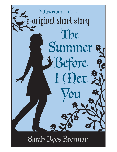

# Sarah Rees Brennan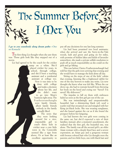The Summer Befo I Met You

**I go to you ceaselessly along dream paths**—Ono no Komachi

The first thing Liz thought when she saw them was: Those girls look like they stepped out of a movie.

Liz had agreed to be the coach for the cricket camp on a whim. She'd played cricket for years, in school, through college, and she'd been a teaching assistant and a residential assistant at college too. Now it was time to be done with college and make a decision about her life, and she didn't want to go into Mum's business right away. The Featherstonehaughs were family friends, albeit family friends nobody in the family actually liked. The news that

they were looking around for a nice, responsible girl to coach thirty kids in cricket near a cute little town in the Cotswolds seemed like a sign from above. Or at least like an excellent opportunity to

put off any decisions for one last long summer.

Liz had been promised two local assistants; when she arrived and saw the Sorry-in-the-Vale woods, lush and green and going on for miles, with promise of hidden lakes and fields of lavender somewhere, she made a private selfish resolution to push off as much responsibility as she could on the girls and go hiking.

This was before Clarice Featherstonehaugh had told her that the girls were arriving that evening and she would have to manage the kids alone all day.

Sitting on the steps of one of the kids' cabins that evening, listening like a frightened rabbit for one of the tiny horrors to make any noise, Liz now thought she knew what war felt like. When the car drove up, she had to restrain herself from throwing her body on the hood and crying out "Saved! I'm saved! My deliverers!"

The impulse to fall on them with embraces faded as soon as the first girl got out of the car.

She was intimidatingly and unquestionably beautiful, hair a shimmering black veil, scarf a scarlet trail that streamed out and mingled with her flying jet-black locks. She was wearing sunglasses, and she leaned against the car as if she found the prospect before her fatiguing.

Liz had known the two girls were coming in the same car, but she'd expected a mix of their families; instead, after a moment's puzzlement, she realized that the first girl, the beautiful one, was alone. The family was all the second girl's: an older Asian woman with a deeply lined face and a severe expression; an Asian guy and a gorgeous woman with bronze-colored hair who Liz thought were the parents; and two little boys, one with black hair and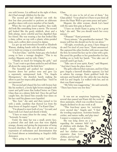one with bronze. Liz stiffened at the sight of them; she'd had enough children for the day.

The second girl had climbed out with the first but then proceeded to perform an elaborate goodbye dance with every member of her family.

When the two girls stood together, they really did look like something from a movie. The second girl looked like the goofy sidekick, short and a little plump, more colorful and less dignified than her friend. She was wearing a hat that looked like a daisy, yellow on top with a plastic white-petaled brim, and a yellow skirt covered in daisies.

Liz got up and introduced herself as Elizabeth Watson, shaking hands with the adults and trying not to look too young or overwhelmed.

"I'm Jon Glass," said the Asian guy, who looked young to have a teenage daughter. "This is my mother, Megumi, and my wife, Claire."

"Thanks so much for bringing the girls," said Liz. "I can't wait to get them settled in and tell them all about the camp and the kids here."

The beautiful girl pushed her sunglasses a fraction down her perfect nose and gave Liz a supremely unimpressed look. "I'm Angela Montgomery," she drawled, barely making the effort to part her impeccably glossed lips. "And I'm not interested."

The second girl chased the boy with bronze hair like his mother's, a lovely light brown mingled with russet and gold tones that looked better on Claire Glass than on a skinny little kid. Once the girl had caught him, she kissed him soundly four times on his face until his glasses were lopsided.

"Bye, brat," she said, and then turned to Liz with a smile, sunshine that thawed Liz from the deep freeze of Angela's regard. "I'm Kami Glass."

"I'm pleased to meet both of you," Liz said, and Kami took Liz's hand and shook it firmly.

"I have so many ideas for the camp," she said. "Seriously. So many."

Under the daisy hat was a small, pretty face, a pointed chin and dark eyes that were slightly strange, dreamy and giving the impression of being focused elsewhere. But over all of it she wore an expression of enthusiasm and determination that Liz found almost as intimidating as Angela's chilly demeanor.

"She's going to be a great help," said Claire

Glass.

"Plus it's nice to be rid of one of them," Jon Glass added. "I was afraid we'd have to put them all down the Hope Well to get some peace and quiet."

Megumi, the older woman, shook Liz's hand with the same firm grip as Kami's.

"I have no doubt Kami is going to be a great help," she said. "But you should watch her every minute."

"Obaasan!" Kami protested.

"Every minute," the grandmother insisted. "She means well but she should not be let out alone."

"All right, everybody, go away, I have things to do and I'm tired of your faces," Kami announced. She captured the other brother with more ease than the first; he turned his face up for a kiss with a grin. She saved the goodbye to her grandmother for last, holding on to both her hands. "You take care of yourself until I get back,."

"Take care of your spirit, Kami," said Megumi. "And don't burn the place down."

The girls collected their suitcases, and Jon Glass gave Angela a farewell shoulder squeeze; Liz had to admire his courage. Kami grabbed both the suitcases and headed for the cabin she was sharing with Liz and Angela. Liz walked with her, and on their way Kami stopped.

"My Sobo was exaggerating," she said earnestly. "There have been very few fires."

It was not an auspicious beginning, but several days passed and Kami did the work of three assistants, which was excellent because Angela declined to do any work at all.

\*

"This four-hour space for 'activities' every second day," Angela said. "I find the wording suspicious. Activities besides cricket, and nature walks, and play time? I suspect a conspiracy of activity."

She was lying down on a bank, regarding the summer field full of children with disdain. She looked deeply relaxed, and her clothes—more expensive than Liz's clothes, and Liz had always thought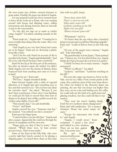she wore pretty nice clothes—seemed immune to grass stains. Possibly the grass was afraid of Angela.

Liz was tempted to join her, but it seemed mean to leave all the work up to Kami, who was running around with hoops and skipping ropes, yelling instructions and darting between them at intervals to join in the conversation.

"So why did you sign up to assist at cricket camp, Angela?" Liz asked, standing uneasily on the bank.

"Kami made me," Angela said. "Crossing her is more trouble than doing what she wants. She's very annoying."

"And Angela is my very best friend and wants me to be happy," Kami put in, throwing a plastic hoop like a lasso.

"And I am her only friend on account of she is peculiar in her brain," Angela said disdainfully. "And she is my only friend because I hate everybody."

Kami bit her lip at the first part of the sentence, but after an instant's pause she smiled. Liz didn't think Angela even saw the instant of dismay; Kami bounced back from anything and came at it twice as hard.

"Except for me," Kami said.

"We'll see," Angela remarked darkly.

Kami favored Angela with a smile of especial affection, as if Angela had said something nice to her, and then turned to Liz. "Do you have any ideas for activities time?" she asked. "Because if you don't have a preference, I have a few. I was thinking we could get the kids to record their time here in diaries to be shared. Sort of like a public record: the cricket camp dailies, if you will."

"That sounds okay," Liz said doubtfully.

"Great!" said Kami.

Angela covered her eyes. "Someone stop her," she moaned. "Can nobody see she's a monster?"

Kami gave her finger guns.

"I cannot believe you just did that," Angela said after a pause. Apparently she could see through the barrier of sunglasses and her own arm.

"Finger guns are okay if they're ironic," Kami claimed. "Which those were. At least seventy percent ironic. That's irony maths."

Some of the Sorry-in-the-Vale kids, who were a pretty tight-knit bunch, seemed to be playing a skipping game. Liz heard them chant as they kept

time with two girls' jumps.

*"Forest deep, silent bells There's a secret no one tells Valley quiet, water still Lynburns watching on the hill Apples red, corn gold Almost everyone grows old."*

"Whaaaaaat?" said Liz.

"It's better than the one where after a hundred jumps everyone gets to pull Sara Manning's pigtails," Kami said. "Loads of kids in Sorry-in-the-Vale sing it."

"It's one of the quaint town customs," Angela said. "Like inbreeding."

"My grandmother is from Japan," Kami pointed out. "Chances are, I'm less inbred than you. Angela thinks she's fancy because she was born in London."

"I think I'm fancy for so many reasons," Angela murmured.

"What's a Lidburn?" Liz asked.

"Lynburn," said Kami. "'Lynburns watching on the hill.'"

The town the camp was closest to, Sorry-in-the-Vale, was set in a valley. From certain points at the camp, they could see most of the town from above, but when Liz looked in the direction Kami was pointing, she saw that one house was higher than they were, set on a rise and looking over the valley. Liz could only see the back of it, gold stone and glinting windows, but she could tell that it was massive.

"They were the town's leading family. Until the two Lynburn sisters disappeared," Kami said with satisfaction. "It's a mystery. Aurimere House has stood empty for years."

"Except for miscreants who break in," said Angela.

"Angela, I would never," Kami exclaimed. "I tested a few doors and looked in a few windows. There are no laws against that, I am pretty sure."

She saw that someone had become i n e x t r i c a b l y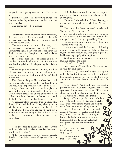tangled in her skipping rope and ran off to rescue her.

Sometimes Kami said disquieting things, but she was undeniably efficient and enthusiastic. Liz began to relax.

That turned out to be a mistake.

\*

Nature walks sometimes extended to Marchton, the town next to Sorry-in-the-Vale. If the kids behaved in an exemplary fashion, they were allowed to buy one sweet each.

There were more than thirty kids to keep track of. Liz was distracted enough that she didn't notice any warning signs, didn't even notice the guy in the thick coat near the cash register until she heard one of the children scream.

She looked over aisles of cereal and baby supplies and saw the glint of a knife. She also saw Kami and Angela immediately pushing the children back.

So far, so good in a terrible situation, but then Liz saw Kami catch Angela's eye and raise her eyebrow. She saw the shallow dip of Angela's head in response.

Kami flew at the guy. He stumbled backward and into Angela, suddenly on her hands and knees and providing a trip wire. He fell flat on his back.

Angela, from her position on the floor, placed a hand on his chest. Kami planted her foot, wearing a pink rubber sandal tied at the ankle with black ribbons, firmly on the wrist of the hand that held the knife. Then she stooped and confiscated it.

"These aren't toys and nobody should play with them," Kami told the kids. "Now, who's going to win the race to get to the phone and call the police?"

It all ended well. But Liz had thought for a minute that she was going to have a heart attack at the age of twenty-three, right in front of the cornflakes.

"You two have to know things don't always work out," she told Angela the next day. "You can't just do stuff like that."

\*

"I don't do anything of my own accord," Angela drawled. "Thus I don't know why you're talking to me."

Liz looked over at Kami, who had just stepped up to the wicket and was swinging the cricket bat and laughing.

"Come on," she called, dark hair gleaming in the sun and eyes bright with a challenge. "Come at me."

"Best to let her have her way," Angela said. "Now, if you'll excuse me . . ."

She opened a fashion magazine and started to read it. Eventually the concentrated force of her disregard caused Liz to get up and help Kami.

Liz was not the only one worried by Kami and Angela's little escapade.

It was evening, and the kids were all drawing their most memorable moments of the day. Liz was mystified by the amount of glitter guns required; it had been a day largely without glitter.

Sara Manning put up her hand. "Can I draw my invisible friend?" she asked.

"Uh, well . . . ," said Liz.

"Yes, absolutely!" said Kami. "Important part of your day, am I right?"

"Here we go," murmured Angela, sitting at a table. She had forbidden any of the kids to sit with her, though a couple of ten-year-old boys were standing at a distance observing her with respectful awe.

"Don't listen," Kami said, and smoothed a protective hand over Sara's pigtails, her dreamy eyes even farther away than usual. "If you care about him and he makes your day better, what does it matter what anyone else thinks?"

Sara gave Kami a puzzled look. "Mindy is a girl," she said. "Also, she is a giant invisible dragon who watches me always and waits to flame from her mouth at all my enemies."

"Well, of course," Kami responded, unfazed. "Sounds very useful. Can't think why I don't have one like that. A dragon is undeniably the most awesome animal. Flames and flying. Two great tastes that taste great together. Far superior to man."

"I'm going to need a lot of orange," said Sara. "Like, a *lot*."

Liz was worrying that Sara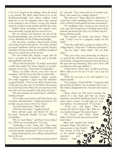a bit of an Angela in the making, when she heard a car outside. She didn't think much of it, as the Featherstonehaughs were always making weird drop-bys to use the printing room—they seemed to be printing a ton of flyers—except that Angela stood up, looked out the window and left the room.

Angela doing something even vaguely active was noteworthy enough that Liz went out too.

The car outside was battered, not one of the Featherstonehaughs' cars, and the two boys beside it were definitely not the Featherstonehaughs.

One was short, wearing a Che Guevara T-shirt and eyeing Angela with interest. The other, tall and extremely handsome, had his arm around Angela's shoulders. Previous to this, Liz would have imagined that to be a quick way to lose an arm.

The boy looked like Angela, except that he had a red glint in his dark hair and a friendly, approachable expression.

"Who is this lovely lady?" he asked, and smiled a smile that made Liz's knees liquefy in a gentle, pleasant sort of way. "And where's Cambridge?"

"Rusty, you didn't tell me your sister was so stunning," said the boy in the Che Guevara shirt.

"Rusty's terribly forgetful," Angela purred. Her smile suggested a tigress that had somehow acquired lipstick. "I bet he also didn't mention that I stick pins into the eyes of everybody who annoys me. In the land of the blind, the one-eyed man is the man who was wise enough to only annoy me once."

"My sister Angela, my friend Claud," said Rusty, looking amused.

"I never like your friends, and I don't know why you keep collecting them," Angela announced. "It's not like you get a prize with every dozen."

"I got the charm gene," Rusty said.

"And I got the brains," Angela retorted.

Rusty grinned again and kissed the side of her head. "Seriously, though," he said. "Where's Cambridge?"

"Oh my God, Rusty," said Kami from behind Liz. "What are you doing here? Go away."

"Cambridge at last," Rusty said. "How many times must I tell you not to attack armed felons with your bare hands, young lady? Come to my arms."

Kami strode past Liz, over to Rusty, and punched him in the arm.

"You're meant to be in Kingston getting settled

in," she said. "You cannot fail out of another year, Rusty. You cannot be a college dropout."

"But why not?" Rusty asked her plaintively. "I could find a kind, intelligent lady to keep me in a style to which I could quickly become accustomed."

"No intelligent lady is going to get mixed up with a guy who dropped out of college due to sheer laziness and having the drive of a broken tricycle," Kami told him sternly.

"But consider my beauty and charm," Rusty said. "Could I not be a gorgeous trophy for her shelf?"

"I bet she could find a gorgeous trophy with a college degree," Kami said. "Ladies love graduates."

"Are you okay?" Rusty asked. "Are you both okay?"

"Fine, we're fine, stop yammering on about it, we used all the self-defense moves you taught us, and besides, it happened yesterday, leave the past in the past and stop obsessing. Since you're here, will you help me with some ladders?"

"I don't know," Rusty said. "Ladders are heavy. What will you do for me if I do? Can I stay for dinner?"

"What do you want to do with ladders?" Liz asked uneasily.

"It's a surprise," Kami told her. "A surprise with lots and lots of ladders. You're going to love it, Liz." She looked disappointed by everyone else's lack of vision.

Claud, whom Liz had noted noticing the arrival of a cute Asian girl who was being dismissive toward his handsome friend, at this point raised a hand. "I could help you with your ladders," he volunteered. "If you want."

"*Thank you,*" said Kami. "That is exactly the kind of spirit I like. Who are you, helpful stranger? My name's Kami."

"I'm Claud," said Claud. "Rusty didn't tell me he had such pretty friends back home."

Rusty and Angela both looked outraged. Kami, who had not been present to hear Claud's first version of this line or his rebuff, looked surprised and pleased. Faint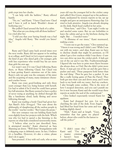pink crept into her cheeks.

"I can help with the ladders," Rusty offered hastily.

"No, no," said Kami. "I have Claud now. Claud and I have it well in hand. Wouldn't dream of bothering you."

She pulled Claud around the back of a cabin.

"But what are you doing with all those ladders?" Liz cried after her.

"I told you that your having friends was a bad idea," Angela told Rusty. "But would you listen? No."

\*

Rusty and Claud came back several times over the next weeks. Rusty did not appear to be settling in at college, and Claud, in Liz's expert opinion, was the kind of guy who dated girls a bit younger, girls with less experience who would buy his act more than girls his own age.

Liz wasn't sure if it was Claud following Rusty there, or Rusty following Claud, but Claud was at least getting Kami's attention out of his visits. Rusty's only net gain was the company of his sister and the acquiring of many, many miniature cheeseand-cracker boxes.

Rusty was crazy good-looking and only three years younger than Liz; being honest with herself, Liz had to admit if he'd tried he could have gotten her full attention. But Rusty seemed to have a policy of never trying at anything; he drifted through life like a handsome cloud, lazily flirting and never following through.

Kami was reading a book Claud had given her: Ayn Rand's *Atlas Shrugged*. "Not sure about the philosophy of slaughtering all the useless people in the world," was her verdict. "But I enjoy the pirate."

Her new romance was not holding Kami back even slightly from her projects with the kids. Which was why Liz had to spend a day listening to the reports on what kids considered newsworthy items.

"I believe what you've just described, Sara, is attempted murder," Kami observed as Sara Manning sat down. "Well done! Strangulation with a skipping rope is definitely news. In fact, I believe it's a headline. However, it's also a crime; please don't do it again."

Sara preened. A boy with red curls, who at nine

years old was the youngest kid in the cricket camp and called Clive Green, stepped up to his audience. Kami, undaunted by sixteen reports so far, sat up straight and gave an anticipatory fluttering clap. Liz tried to look attentive. Angela was already sleeping on the desk, black head cradled in her arms.

"Hem-hem," said Clive. "Last night I woke up and needed some water. But we are forbidden to leave the cabins and go to the kitchens during the night. But . . . I needed water."

"A dilemma of our times," Kami murmured, making a note.

"I went out to get the water," Clive summed up. "I knew it was wrong and I didn't care! While I was out with my water—and okay, Kami says we have to disclose details that might be pertinent, so I'll admit I got a few crackers while I was there—I saw two cars drive up near the cricket pitch. A lady got out of the car and it was Mrs. Featherstonehaugh. I figured she was here to print more flyers because she always does, so I hid. But she didn't print more flyers. A man got out of the car and she gave him a packet and said, 'These passports look better than the real thing.' Then he gave her a packet. It was like a really boring game of Pass the Parcel. They both got into their cars and drove away, and I went back to my bunk with my water. And my crackers. I also brought some cookies. This is the story of how I escaped detection, and you can't punish me for it now because Kami said she would treat these reports as under the seal of the confessional."

Clive looked expectantly toward Kami for applause.

Kami had dropped her pen. Liz was clutching the side of the desk. Even Angela had lifted her head from her arms and was looking slightly dazed.

"Huh," Kami said at length. "Guys, remember that fun game we played before, about who could be the fastest to call the police?"

"I didn't cause this," Kami said. "I'm not a master criminal. I haven't been counterfeiting

\*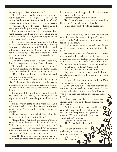papers using a cricket club as a front."

"I didn't say you had been, though I wouldn't put it past you," said Angela. "I said that of course this happened. Because this kind of stuff always happens around you. You are a beacon for weirdness. You are flypaper for freaks. A bird bearing weird tidings flies over your head."

Kami, unusually for Kami, did not respond. Liz, Kami, Angela, Claud and Rusty were all sitting at the kitchen table, watching the news report of the Featherstonehaughs' arrest.

Liz had never been so embarrassed in her life. She just hadn't wanted to be an actuary quite yet; she'd wanted a last summer off. She hadn't wanted to be mixed up in a crime. She was such an idiot; her mother was right, she didn't know what was good for her, and she had proved she couldn't make adult decisions.

The cricket camp wasn't officially closed yet, though some parents had taken their kids away.

"It's possible you were a little impulsive, honey," said Claud, reaching out to squeeze Kami's hand. "Next time maybe call me and ask for some advice."

"Don't," Kami said absently, pulling her hand away and frowning at him.

Rusty and Angela were both glowering in Claud's direction. Kami didn't seem to be paying much attention. Her strange eyes were more dreamy and distant than ever; she seemed removed from them all.

Liz supposed that was how it was with people like Kami: either all the way switched on, or all the way switched off. Liz was disappointed and sorry too.

But she wasn't going to let a twerp like Claud make Kami feel bad, and besides which, she was worried about Angela and her brother committing murder.

She reached over and touched Kami's shoulder lightly. "You did the right thing, Kami."

"I know I did," Kami said, still absently. "But we have to figure out how to turn that to our advantage. We have to figure out how to make the story ours."

Apparently by "we" she meant "I," or at least didn't mean any of them, because a second later her face lit up and she darted out of the room.

Claud had the expression of a man who had not only bitten off more than he could chew, but had bitten into a stick of peppermint that he was now worried might be dynamite.

"Serves you right," Rusty told him.

Claud's mouth was turning toward something like a pout. "I thought we were friends."

"Well," Rusty said, "I've taken against you."

\*

"I don't know, Liz," said Kami the next day when Liz asked her what activity she'd like to do with the kids. "Why don't you pick? What do you feel like doing today?"

Liz clutched at her empty cereal bowl. Angela cradled her coffee mug to her chest as if it were her baby.

Kami sat with her cup of coffee and a piece of toast spread with strawberry jam. She was wearing a headband with plastic strawberries attached, and a pink T-shirt with an upside-down rainbow on it. The big rainbow smile looked menacing somehow.

"What have you done?" Angela said.

"Not sure what you mean, pal," Kami said.

They heard the sound of a car outside. Liz and Angela both scrambled to their feet and ran to the window.

Liz glanced over her shoulder and saw Kami smiling happily as she ate her toast.

Once Kami was quite done with breakfast she came outside into the chaos she had created. Liz was sitting in the dirt trying to calm Sara Manning, who was in tears and pulling out the hair in her . pigtails.

"Please don't let them take away our cricket camp!" she said. "It and dragons are all I live for!"

"And then Kami and Angela tackled a criminal," said Frank Fairchild, looking over to Kami for approval. She gave him a tiny nod. "They are tireless in their purse suit of justice," he added.

"Pursuit," Kami murmured.

"That's what I said," Frank told her.

"Did you and this other girl—Angela—actually apprehend a criminal?"

"Oh yes.

Angela, come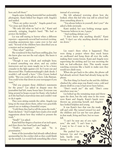here and tell them!"

Angela came, looking homicidal but undeniably photogenic. Kami linked her fingers with Angela's and smiled.

"There are police records," Angela grated out. "Go away and check them."

"We only did what we had to do," Kami said earnestly, swinging Angela's hand. "We had to protect the kiddies."

Liz was still staring in horror when a different reporter—apparently several had received excitingsounding anonymous tips—came over to her and said, "Several of the children have described you as a mentor and an inspiration."

"They what?" said Liz.

She wondered if they had been sniffing glue, but she knew glue was not the real culprit. She knew it was Kami.

"Though it was a black and midnight hour, I sensed something was afoot, and my cricket instructors and my mum taught me to be a brave crusader in the fight against evil. So I went out and discovered Mrs. Featherstonehaugh's dark deeds. I wouldn't call myself a hero." Clive Green looked noble. "But you could call me a hero. Like Batman. You could write that down in your newspaper if you want."

"Did you prepare those children's statements for the press?" Liz asked in despair once the journalists had left, many hours later. Everyone was lying around in heaps except for Kami, who looked as if she had had a marvelous time and couldn't wait to do it again.

They were sitting outside the cabin. Angela was lying on the steps above them, either very gracefully passed out or making a beautiful corpse.

"I told them they had to tell the press the truth," Kami declared. "And I might have made a few small suggestions about how they wished to present the truth<sup>"</sup>

"Small?" Liz asked.

Kami held her fingers a fraction of an inch apart, and then threw her head back and laughed.

"Truth's important," she said. "So is presentation."

Some of the journalists had already talked about sponsorship for the cricket club so they could finish up the month. Liz would look something like a hero

instead of a screwup.

She felt ashamed worrying about how she looked, when this kid who was still in school had done something about it.

"You always believe in yourself, don't you?" she asked a little enviously.

Kami smiled, her eyes looking strange again. "Someone believes in me, I guess."

"And nothing defeats you."

"I don't know why anything should," Kami said. "I don't see why anything should even slow me down."

\*

Liz wasn't there when it happened. They were doing a project where they stuck leaves on cardboard and hung them all over the walls, making their rooms forests. Kami and Angela were supervising the sticking and Liz was escorting the kids on leaf-collection duty. This mostly meant watching everyone like a hawk to make sure they would not climb trees.

When she got back to the cabin, the phone call had already arrived. Kami had already hung up the phone.

The first thing Liz heard as she and the children climbed the cabin steps was Kami's voice, cold and almost shrill in a way it had never been before..

"Don't touch me!" she said. "Don't come anywhere near me."

Liz bolted up the remaining steps and threw open the door, but the only ones in the room were Kami and Angela. Kami's hands were thrown up, protecting herself, and Angela's face looked helpless and young.

It was Kami's face that was the mask, still and cold. She turned toward Liz and the children and Liz saw her eyes gleam in that mask, living and hurt, but no tears fell.

"I can't be near any of you right now," she said. "I can't bear it. I want to be—I want to be alone."

She pushed her way between Liz and the kids, hardly even having to push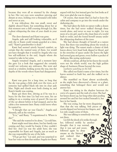because they were all so stunned by the change in her. Her wet eyes were somehow piercing and distant at once, looking over a thousand cold miles and never at you.

It was ridiculous: this was small, sweet and slightly absurd Kami, but something about her at that moment sent a chill coursing through Liz, like a ghost whispering the time of your death in your ear.

The door slammed and Kami was gone.

Angela, pale and still looking vulnerable, as if only she or Kami could remain guarded at a time, said, "Kami's grandmother is dead."

Kami had seemed utterly beyond comfort, so certain that she wanted none of them. Liz would not have thought that it would be Angela who was less self-sufficient in the end, Angela whom she wanted to take in her arms.

Angela remained Angela, and a moment later she gave Liz a look that suggested she certainly would not welcome any embraces. She went and stood at a window, looking across the way, into the depths of the woods where Kami had disappeared.

Kami was gone for a long time, so long that the sky was going a little dark over the trees, as if someone had spilled black ink into its clear pale blue. Night and clouds were both closing in, and Kami's family was coming.

\*

Rusty got there first, driving as if he was in a hurry for the first time Liz had ever seen, his car sailing in on a cresting wave of gravel. He was out of the car almost before it had stopped, and in the cabin a few moments later. Rusty could move when he wanted to.

"I thought that car was Claud's," Angela said distantly, still at the window.

"It is," said Rusty. "I requisitioned it. Where is she?"

"She said she wanted to be alone," Liz told him.

Kami might need time alone, but her family was coming and they would be frantic if they couldn't find her. And Liz was the adult here; she was responsible for Kami and Angela, just as much as she was responsible for any of the kids.

"I'll go get her," Liz said, and was surprised to hear her voice so firm that neither Angela nor Rusty argued with her, but instead gave her lost looks as if they were glad she was in charge.

Of course, that meant that Liz had to leave the cabin and company to go into the woods under the darkening sky.

She had taken the kids on nature walks a dozen times, but she had never walked through these woods alone, and never so near to night. Liz was more of a city girl, used to the clean lines of a world built to order, and she found herself uneasy under the whispering shadows of the trees.

She had always thought of herself as a nature lover. But there was something about the woods as light was dying. The sunset made a cluster of dark leaves above Liz's head look dipped in blood, and in the stretches of space under the leaves the light had turned gray and green, every hollow a pocket of darkness, like seeing underwater.

All she could see, all that let her know the woods were not the whole world, was the high golden shape of Aurimere House beyond the trees.

*Lynburns watching on the hill.*

She called out Kami's name a few times, but the leaves seemed to hush her, and she walked on in silence.

She stumbled on Kami almost accidentally, as she might have discovered a flower or a plant, something that belonged there and would not answer her.

Kami was sitting in the shadow between the curve of a quarry and the rush of a river. She had her knees drawn up, her long white skirt pooling around her and her feet tucked beneath it, her face in her hands.

She was crying, but far more disquieting than that she was talking. Soft pieces of words slipped out between her fingers, and Liz only caught some of them.

She was talking to somebody who was not there.

Liz felt the shock of it strike through her, followed swiftly by another thought: that it was normal, that it was sad and sweet, followed again by deep unease as she listened and realized that Kami was not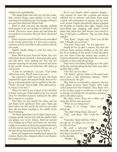talking to her grandmother.

The things Kami had said over the last weeks, little careless things, came together in Liz's mind and formed a terrible picture. Liz thought of Kami's eyes and their blind and distant look.

Blind to what was real, she thought, pushing back people to go and indulge in madness in the woods. This brave, smart, funny girl, and when she was pushed to extremity, this was where she found herself.

Kami wrung her hands, head bowed, and talked to the woods and the sky as if they were a person, someone with her and able to offer comfort nobody else could.

Quietly, hardly daring to trust her voice, Liz said her name.

Kami lifted her face from her hands. Her eyes still looked dazed, dazzled, a thousand miles away and safe there, tears marking her face and her situation dawning on her anew: bereaved and alone in the woods, young and shivering with shock as well as pain.

"Come on, sweetheart," Liz said. "Your family will be here soon. They'll want to see you."

She expected a fresh burst of tears, but Kami surprised her again. She paused briefly, then set her jaw in a determined line and scrambled to her feet. "Yeah," she said. "You're right. They will need me. So I have to be there."

When Liz tried to put a hand on her shoulder as Kami went past, Kami smiled at her but moved away, her shoulders squared, making for the cabin like a woman on a mission.

The Glass car was outside the cabin, and Liz and Kami both quickened their pace. Kami got there before Liz did, and by the time Liz was at the door she saw Kami standing in the middle of the floor, hesitating.

The black-haired boy was in Claire Glass's arms, weeping openly, and the boy with his mother's hair and glasses was in Jon Glass's. Both her parents were looking up at Kami and Kami was wavering, caught in a moment of obviously painful indecision, as if she was not used to being the odd one out, as if she had always had someone to go to before.

Rusty and Angela were leaning back against the window. Rusty's face changed when he saw Kami's; he straightened up.

But it was Angela—aloof, superior Angela who crossed the room like a missile and almost collided into an embrace with Kami. Kami made a quick, soft exclamation of surprise, but her arms went around Angela immediately, fingers gripping the shoulder of Angela's shirt tight, Angela's long raven-black hair mingling with Kami's shorter glossy hair, black shot with brown, even mixed so easy to tell apart, so different. The two girls clung together.

"Hey, Kami," Angela said. "Don't run off like that. I thought you were lost."

"I'm sorry," Kami said. "No. I'm right here."

Angela let her go after a minute, but after the embrace Kami seemed steadier, as she had after her fit of madness in the woods. It had also given Jon and Claire Glass the minute they needed to extricate themselves and bring both their sons over to Kami, so they could all converge.

Kami went to her father, holding on to the collar of his shirt and smoothing his hair back, more like a mother than a child.

"Oh, Dad, are you okay?"

"Oh, Kami," said her father in the same tones she'd used, a sad, affectionate mimicry. "Don't worry about me. My girl."

They held on to each other a moment, the boy with glasses between them, Kami's other hand curled around his thin shoulder. Then Kami went to her mother, trying to soothe her as well, trying to manage everything and not getting a moment alone with either parent.

She didn't notice Rusty for a while, and when she did her eyes narrowed.

"What are you doing here?"

"College is so boring," Rusty said plaintively.

"You didn't bring Claud, did you?"

"Nah," said Rusty. "But I stole his car."

"Fantastic," Kami told him. "When you fail out of college, you can turn to a life of crime."

She tried a half-smile that didn't quite work out, and Rusty punched her in the shoulder.

"Thanks for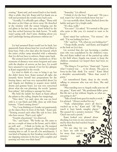coming," Kami said, and turned back to her family. After a while, they left. Kami told Liz thank you as well and promised she would come back soon.

"Actually, I've officially quit college," Rusty told his sister as the Glass car drove away. He slouched at the window with the sunset bringing out the red glints in his hair, his easy drawl belied by the tiny line etched between his dark brows. "It really wasn't going well. And I pine, thinking about you and Cambridge having adventures without me."

Liz had assumed Kami would not be back, but apparently Kami always kept her word and liked to keep busy. Only a few days after the funeral, which the entire cricket camp attended with a solemnity that Liz did not have to enforce, Kami came back.

 $\mathbf{r}$ 

She seemed much the same, resolutely so. If her moments of distance were more frequent and came with the shadow of sorrow on her face, Liz would have assumed it was natural, if not for her glimpse at Kami unguarded in the woods.

Liz tried to think of a way to bring it up, but she didn't know how. Kami seemed all right; she instantly threw herself into preparations for the leaving dance, and was very reproachful about Liz and Angela not thinking to acquire more tinfoil, drums and gummy bears. Liz was very concerned about what she was planning: the words "gummy bear piñata" did nothing to assuage her fears.

She held the ladder for Kami as Kami affixed the piñata to the ceiling, despite her misgivings.

"Nice skirt," Liz said, since she was eye level with it; it was black and frilly, done up with brass buttons. "Claud coming down?"

"Yes, I was thinking we'd make out passionately on the dance floor in front of the kids," Kami said. "Twining around each other like eels in love. Eels who have moves. That's cool, right?"

"Sounds educational," Liz observed.

"No," said Kami. "We broke up. He came to see me a couple of times at the house, and it didn't go well, and . . . I think we broke up. He stopped calling me, and I stopped calling him and stopped wanting him to call. It was all a bit anticlimactic. I was kind of hoping my first breakup would involve me slapping someone in the face with a napkin and pouring red wine over their head."

"Someday," Liz offered.

"I think it's for the best," Kami said. "He was a tool, wasn't he? And everybody knew but me."

Liz was tactfully silent. Kami climbed down the ladder and gave Liz a bright smile.

"It's okay, really."

"You sure?" Liz asked. "It's normal to like guys who seem to like you; it's normal to want to be loved."

Kami raised her eyebrows. "I'm sixteen," she said. "I'm not looking for love."

"Oh," said Liz. "Uh, what are you looking for?"

"Cheap thrills, mostly," said Kami, and laughed at the look on Liz's face.

Liz worried that she was becoming a maiden aunt who was scandalized by the children's ways. She and Kami walked out of the partied-up cabin to the field where Angela was meant to keep the children contained; Liz hoped there had been no fatalities.

"The thing is, I've got love," Kami said. "I guess what I wanted was . . . to be chosen. The guys in Sorry-in-the-Vale think I'm weird." Kami lifted a shoulder uncomfortably. "More than weird, I guess."

Liz remembered Kami, deep in the woods, talking to someone who was not there. She said nothing.

"Plus standing next to Angela really puts me off my game," Kami said. "My gentleman-killer game. But life isn't as fun without Angela, so what are you going to do?"

"Take a break from guys for maybe a week," Liz advised. "Always worked for me."

"Yeah, relationships aren't all they're cracked up to be," Kami said. "All 'Hey, watch it, busy hands, naughty places.'" She paused for a pensive moment. "That Claud was such a prude."

Kami looked very pleased about shocking Liz twice in one conversation, and by then they had reached Angela and the kids.

"It's not okay for you to leave me with them for more than twenty minutes," said Angela.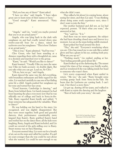"Did you lose any of them?" Kami asked.

"I have no idea," said Angela. "I have taken great care to learn none of their names or faces."

"Good enough!" Kami announced. "Party time."

\*

"Angela," said Liz, "could you maybe pretend that you're at an actual party?"

Angela, who was lying back in the dark with sunglasses on and had cruelly turned down nine twelve-year-old boys for a dance, raised her eyebrows over her sunglasses. "This is how I behave at an actual party."

"This is true," Kami admitted. "Sad but true."

Clive Green, who had been standing at a distance regarding them with a thoughtful air, came to a decision and marched over to the group.

"Kami," he said. "Would you like to dance?"

Kami beamed. "Usually I like my men the same way I like my bank account—in double digits. But you take what you can get. Lead on, Sir Clive."

"Oh no, here we go," said Angela.

Kami danced the same way she did everything, with boundless enthusiasm and little regard for the rules. Liz watched carefully in case one of her flailing arms hit a child. Angela pushed her sunglasses up her nose and turned her face away.

"Good heavens, Cambridge is dancing," said Rusty from behind them. Liz barely jumped; he had been haunting the place even more now that he was officially out of college and back in Sorry-in-the-Vale. Rusty regarded Kami fondly and added, "I hope someone has safeguarded the valuables. Want to dance?"

He was holding out his hand to his sister, Liz recognized, and was slightly disappointed. But they were sweet together, both good and graceful dancers, their performance considerably more languid than Kami's. Rusty grabbed Kami's hand and twirled her on the dance floor; all the kids were laughing, Rusty, Angela and Kami included, and Liz could see several of the girls sidling over to Rusty. Smart money was on Sara Manning.

Everyone seemed okay. Liz went out for a breath of air, sat on the steps and called her mother. If a girl six years younger than she was could be sure about what she wanted, Liz could be sure enough to say what she didn't want.

They talked a bit about Liz coming home, about seeing her sister, and then Liz said, "I was thinking about doing some work experience next, since I don't want to join the firm."

Her mother hesitated and did not, as Liz had expected, protest. "If that's what you want," she answered at last.

"Yes," said Liz. "It is."

And there was no more argument, the subject she had been dreading closed once and forever in a moment. Liz sat on the steps feeling mildly stunned.

Kami poked her head around the door.

"Hey," she said. "Everyone's wondering where you are. Clive has tossed me to one side like a soiled glove and has a gleam in his eye, seeking fresh prey. What are you up to?"

"Nothing much," Liz replied, smiling at her. "Just feeling generally good about life."

Kami looked up at the darkening sky. The sunset turned the irises of her strange eyes briefly scarlet, and Liz wondered if she was talking inside her head to someone who wasn't there.

Liz's worry evaporated when Kami smiled in return. "Me too," she said. "Rusty brought some exciting gossip back from Sorry-in-the-Vale. He hears that the Lynburns are coming back. I can't wait. I bet there's a story there."

Liz got up, dusting off her jeans, and walked in with Kami to rejoin the dancing and the laughter.

"Best of luck with your story," she said.